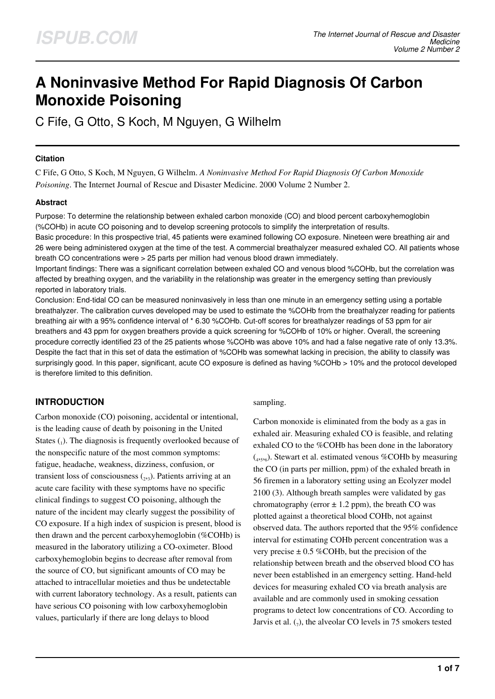# **A Noninvasive Method For Rapid Diagnosis Of Carbon Monoxide Poisoning**

C Fife, G Otto, S Koch, M Nguyen, G Wilhelm

#### **Citation**

C Fife, G Otto, S Koch, M Nguyen, G Wilhelm. *A Noninvasive Method For Rapid Diagnosis Of Carbon Monoxide Poisoning*. The Internet Journal of Rescue and Disaster Medicine. 2000 Volume 2 Number 2.

## **Abstract**

Purpose: To determine the relationship between exhaled carbon monoxide (CO) and blood percent carboxyhemoglobin (%COHb) in acute CO poisoning and to develop screening protocols to simplify the interpretation of results.

Basic procedure: In this prospective trial, 45 patients were examined following CO exposure. Nineteen were breathing air and 26 were being administered oxygen at the time of the test. A commercial breathalyzer measured exhaled CO. All patients whose breath CO concentrations were > 25 parts per million had venous blood drawn immediately.

Important findings: There was a significant correlation between exhaled CO and venous blood %COHb, but the correlation was affected by breathing oxygen, and the variability in the relationship was greater in the emergency setting than previously reported in laboratory trials.

Conclusion: End-tidal CO can be measured noninvasively in less than one minute in an emergency setting using a portable breathalyzer. The calibration curves developed may be used to estimate the %COHb from the breathalyzer reading for patients breathing air with a 95% confidence interval of \* 6.30 %COHb. Cut-off scores for breathalyzer readings of 53 ppm for air breathers and 43 ppm for oxygen breathers provide a quick screening for %COHb of 10% or higher. Overall, the screening procedure correctly identified 23 of the 25 patients whose %COHb was above 10% and had a false negative rate of only 13.3%. Despite the fact that in this set of data the estimation of %COHb was somewhat lacking in precision, the ability to classify was surprisingly good. In this paper, significant, acute CO exposure is defined as having %COHb > 10% and the protocol developed is therefore limited to this definition.

# **INTRODUCTION**

Carbon monoxide (CO) poisoning, accidental or intentional, is the leading cause of death by poisoning in the United States  $_{1}$ ). The diagnosis is frequently overlooked because of the nonspecific nature of the most common symptoms: fatigue, headache, weakness, dizziness, confusion, or transient loss of consciousness  $(2,3)$ . Patients arriving at an acute care facility with these symptoms have no specific clinical findings to suggest CO poisoning, although the nature of the incident may clearly suggest the possibility of CO exposure. If a high index of suspicion is present, blood is then drawn and the percent carboxyhemoglobin (%COHb) is measured in the laboratory utilizing a CO-oximeter. Blood carboxyhemoglobin begins to decrease after removal from the source of CO, but significant amounts of CO may be attached to intracellular moieties and thus be undetectable with current laboratory technology. As a result, patients can have serious CO poisoning with low carboxyhemoglobin values, particularly if there are long delays to blood

#### sampling.

Carbon monoxide is eliminated from the body as a gas in exhaled air. Measuring exhaled CO is feasible, and relating exhaled CO to the %COHb has been done in the laboratory  $(4,5,6)$ . Stewart et al. estimated venous %COHb by measuring the CO (in parts per million, ppm) of the exhaled breath in 56 firemen in a laboratory setting using an Ecolyzer model 2100 (3). Although breath samples were validated by gas chromatography (error  $\pm$  1.2 ppm), the breath CO was plotted against a theoretical blood COHb, not against observed data. The authors reported that the 95% confidence interval for estimating COHb percent concentration was a very precise  $\pm$  0.5 %COHb, but the precision of the relationship between breath and the observed blood CO has never been established in an emergency setting. Hand-held devices for measuring exhaled CO via breath analysis are available and are commonly used in smoking cessation programs to detect low concentrations of CO. According to Jarvis et al.  $(7)$ , the alveolar CO levels in 75 smokers tested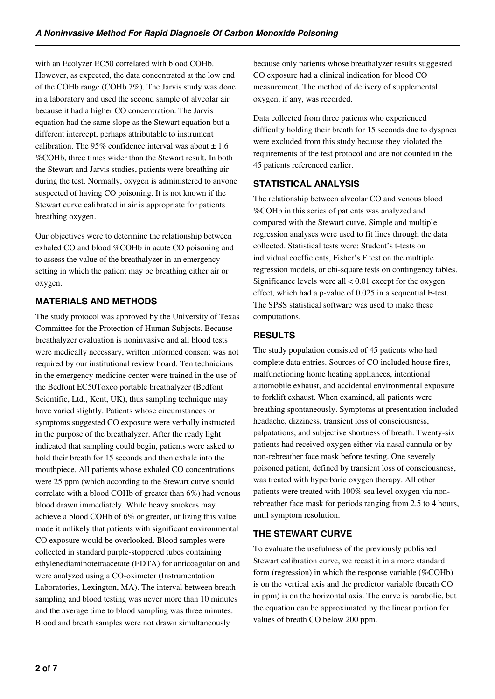with an Ecolyzer EC50 correlated with blood COHb. However, as expected, the data concentrated at the low end of the COHb range (COHb 7%). The Jarvis study was done in a laboratory and used the second sample of alveolar air because it had a higher CO concentration. The Jarvis equation had the same slope as the Stewart equation but a different intercept, perhaps attributable to instrument calibration. The 95% confidence interval was about  $\pm 1.6$ %COHb, three times wider than the Stewart result. In both the Stewart and Jarvis studies, patients were breathing air during the test. Normally, oxygen is administered to anyone suspected of having CO poisoning. It is not known if the Stewart curve calibrated in air is appropriate for patients breathing oxygen.

Our objectives were to determine the relationship between exhaled CO and blood %COHb in acute CO poisoning and to assess the value of the breathalyzer in an emergency setting in which the patient may be breathing either air or oxygen.

# **MATERIALS AND METHODS**

The study protocol was approved by the University of Texas Committee for the Protection of Human Subjects. Because breathalyzer evaluation is noninvasive and all blood tests were medically necessary, written informed consent was not required by our institutional review board. Ten technicians in the emergency medicine center were trained in the use of the Bedfont EC50Toxco portable breathalyzer (Bedfont Scientific, Ltd., Kent, UK), thus sampling technique may have varied slightly. Patients whose circumstances or symptoms suggested CO exposure were verbally instructed in the purpose of the breathalyzer. After the ready light indicated that sampling could begin, patients were asked to hold their breath for 15 seconds and then exhale into the mouthpiece. All patients whose exhaled CO concentrations were 25 ppm (which according to the Stewart curve should correlate with a blood COHb of greater than 6%) had venous blood drawn immediately. While heavy smokers may achieve a blood COHb of 6% or greater, utilizing this value made it unlikely that patients with significant environmental CO exposure would be overlooked. Blood samples were collected in standard purple-stoppered tubes containing ethylenediaminotetraacetate (EDTA) for anticoagulation and were analyzed using a CO-oximeter (Instrumentation Laboratories, Lexington, MA). The interval between breath sampling and blood testing was never more than 10 minutes and the average time to blood sampling was three minutes. Blood and breath samples were not drawn simultaneously

because only patients whose breathalyzer results suggested CO exposure had a clinical indication for blood CO measurement. The method of delivery of supplemental oxygen, if any, was recorded.

Data collected from three patients who experienced difficulty holding their breath for 15 seconds due to dyspnea were excluded from this study because they violated the requirements of the test protocol and are not counted in the 45 patients referenced earlier.

# **STATISTICAL ANALYSIS**

The relationship between alveolar CO and venous blood %COHb in this series of patients was analyzed and compared with the Stewart curve. Simple and multiple regression analyses were used to fit lines through the data collected. Statistical tests were: Student's t-tests on individual coefficients, Fisher's F test on the multiple regression models, or chi-square tests on contingency tables. Significance levels were all  $< 0.01$  except for the oxygen effect, which had a p-value of 0.025 in a sequential F-test. The SPSS statistical software was used to make these computations.

# **RESULTS**

The study population consisted of 45 patients who had complete data entries. Sources of CO included house fires, malfunctioning home heating appliances, intentional automobile exhaust, and accidental environmental exposure to forklift exhaust. When examined, all patients were breathing spontaneously. Symptoms at presentation included headache, dizziness, transient loss of consciousness, palpatations, and subjective shortness of breath. Twenty-six patients had received oxygen either via nasal cannula or by non-rebreather face mask before testing. One severely poisoned patient, defined by transient loss of consciousness, was treated with hyperbaric oxygen therapy. All other patients were treated with 100% sea level oxygen via nonrebreather face mask for periods ranging from 2.5 to 4 hours, until symptom resolution.

# **THE STEWART CURVE**

To evaluate the usefulness of the previously published Stewart calibration curve, we recast it in a more standard form (regression) in which the response variable (%COHb) is on the vertical axis and the predictor variable (breath CO in ppm) is on the horizontal axis. The curve is parabolic, but the equation can be approximated by the linear portion for values of breath CO below 200 ppm.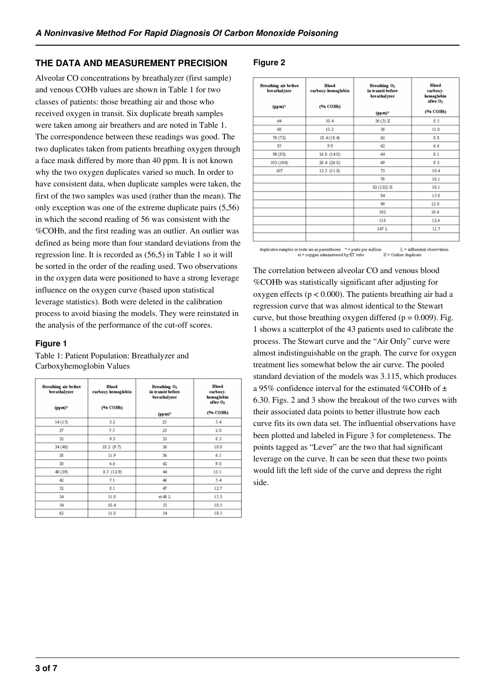#### **THE DATA AND MEASUREMENT PRECISION**

Alveolar CO concentrations by breathalyzer (first sample) and venous COHb values are shown in Table 1 for two classes of patients: those breathing air and those who received oxygen in transit. Six duplicate breath samples were taken among air breathers and are noted in Table 1. The correspondence between these readings was good. The two duplicates taken from patients breathing oxygen through a face mask differed by more than 40 ppm. It is not known why the two oxygen duplicates varied so much. In order to have consistent data, when duplicate samples were taken, the first of the two samples was used (rather than the mean). The only exception was one of the extreme duplicate pairs (5,56) in which the second reading of 56 was consistent with the %COHb, and the first reading was an outlier. An outlier was defined as being more than four standard deviations from the regression line. It is recorded as (56,5) in Table 1 so it will be sorted in the order of the reading used. Two observations in the oxygen data were positioned to have a strong leverage influence on the oxygen curve (based upon statistical leverage statistics). Both were deleted in the calibration process to avoid biasing the models. They were reinstated in the analysis of the performance of the cut-off scores.

#### **Figure 1**

Table 1: Patient Population: Breathalyzer and Carboxyhemoglobin Values

| Breathing air before<br><b>breathalyzer</b> | <b>Blood</b><br>carboxy-hemoglobin | Breathing O <sub>2</sub><br>in transit before<br>breathalyzer | <b>Blood</b><br>carboxy.<br>hemoglobin |  |
|---------------------------------------------|------------------------------------|---------------------------------------------------------------|----------------------------------------|--|
| $(ppm)^*$                                   | (% COHb)                           | $(ppm)^*$                                                     | after O <sub>2</sub><br>(% COHb)       |  |
| 14(15)                                      | 3.2                                | 25                                                            | 5.4                                    |  |
| 27                                          | 7.5                                | 25                                                            | 2.0                                    |  |
| 32                                          | 9.3                                | 33                                                            | 8.3                                    |  |
| 34 (40)                                     | 10.2 (9.7)                         | 36                                                            | 10.0                                   |  |
| 38                                          | 11.9                               | 36                                                            | 6.1                                    |  |
| 38                                          | 6.6                                | 42                                                            | 9.8                                    |  |
| 40 (39)                                     | 8.5 (12.9)                         | 44                                                            | 13.1                                   |  |
| 42                                          | 7.1                                | 46                                                            | 5.4                                    |  |
| 52                                          | 8.1                                | 47                                                            | 12.7                                   |  |
| 54                                          | 11.0                               | et 48 L                                                       | 15.3                                   |  |
| 54                                          | 10.4                               | 53                                                            | 10.5                                   |  |
| 62                                          | 11.8                               | 54                                                            | 10.5                                   |  |

#### **Figure 2**

| Breathing air before<br><b>breathalyzer</b><br>$(ppm)^*$ | <b>Blood</b><br>carboxy-hemoglobin<br>(% COHb) | Breathing O <sub>2</sub><br>in transit before<br>breathalyzer | <b>Blood</b><br>carboxy.<br>hemoglobin<br>after O <sub>2</sub> |  |
|----------------------------------------------------------|------------------------------------------------|---------------------------------------------------------------|----------------------------------------------------------------|--|
|                                                          |                                                | $(ppm)^*$                                                     | (% COHb)                                                       |  |
| 64                                                       | 10.4                                           | 56 (5) X                                                      | 8.5                                                            |  |
| 68                                                       | 13.2                                           | 56                                                            | 11.0                                                           |  |
| 70 (72)                                                  | 18.4(18.4)                                     | 62                                                            | 8.8                                                            |  |
| 85                                                       | 9.0                                            | 62                                                            | 6.6                                                            |  |
| 90 (93)                                                  | 16.0(14.0)                                     | 64                                                            | 8.1                                                            |  |
| 103 (104)                                                | 28.4(26.8)                                     | 69                                                            | 9.3                                                            |  |
| 107                                                      | 13.5 (11.8)                                    | 73                                                            | 10.4                                                           |  |
|                                                          |                                                | 78                                                            | 10.1                                                           |  |
|                                                          |                                                | 82 (122) X                                                    | 10.1                                                           |  |
|                                                          |                                                | 84                                                            | 15.8                                                           |  |
|                                                          |                                                | 99                                                            | 12.9                                                           |  |
|                                                          |                                                | 102                                                           | 10.6                                                           |  |
|                                                          |                                                | 118                                                           | 12.6                                                           |  |
|                                                          |                                                | 147 L                                                         | 11.7                                                           |  |

or tests are in parentheses \* = parts per million<br> et = oxygen administered by ET tube duplicates samples or tests are in parentheses  $\quad$   $^*$   $=$ L = influential observation  $X =$  Outlier duplicate

The correlation between alveolar CO and venous blood %COHb was statistically significant after adjusting for oxygen effects ( $p < 0.000$ ). The patients breathing air had a regression curve that was almost identical to the Stewart curve, but those breathing oxygen differed ( $p = 0.009$ ). Fig. 1 shows a scatterplot of the 43 patients used to calibrate the process. The Stewart curve and the "Air Only" curve were almost indistinguishable on the graph. The curve for oxygen treatment lies somewhat below the air curve. The pooled standard deviation of the models was 3.115, which produces a 95% confidence interval for the estimated %COHb of  $\pm$ 6.30. Figs. 2 and 3 show the breakout of the two curves with their associated data points to better illustrate how each curve fits its own data set. The influential observations have been plotted and labeled in Figure 3 for completeness. The points tagged as "Lever" are the two that had significant leverage on the curve. It can be seen that these two points would lift the left side of the curve and depress the right side.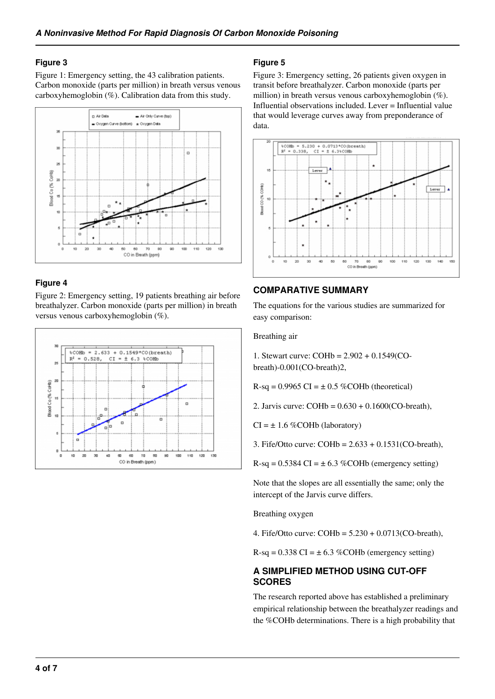#### **Figure 3**

Figure 1: Emergency setting, the 43 calibration patients. Carbon monoxide (parts per million) in breath versus venous carboxyhemoglobin (%). Calibration data from this study.



## **Figure 4**

Figure 2: Emergency setting, 19 patients breathing air before breathalyzer. Carbon monoxide (parts per million) in breath versus venous carboxyhemoglobin (%).



#### **Figure 5**

Figure 3: Emergency setting, 26 patients given oxygen in transit before breathalyzer. Carbon monoxide (parts per million) in breath versus venous carboxyhemoglobin (%). Influential observations included. Lever = Influential value that would leverage curves away from preponderance of data.



# **COMPARATIVE SUMMARY**

The equations for the various studies are summarized for easy comparison:

Breathing air

1. Stewart curve: COHb = 2.902 + 0.1549(CObreath)-0.001(CO-breath)2,

 $R-sq = 0.9965 \text{ CI} = \pm 0.5 \% \text{COHb}$  (theoretical)

2. Jarvis curve:  $COHb = 0.630 + 0.1600(CO-breath)$ ,

 $CI = \pm 1.6$  %COHb (laboratory)

3. Fife/Otto curve: COHb = 2.633 + 0.1531(CO-breath),

 $R-sq = 0.5384 \text{ CI} = \pm 6.3 \text{ %COHb (emergency setting)}$ 

Note that the slopes are all essentially the same; only the intercept of the Jarvis curve differs.

Breathing oxygen

4. Fife/Otto curve: COHb = 5.230 + 0.0713(CO-breath),

 $R-sq = 0.338 \text{ CI} = \pm 6.3 \text{ %COHb (emergency setting)}$ 

## **A SIMPLIFIED METHOD USING CUT-OFF SCORES**

The research reported above has established a preliminary empirical relationship between the breathalyzer readings and the %COHb determinations. There is a high probability that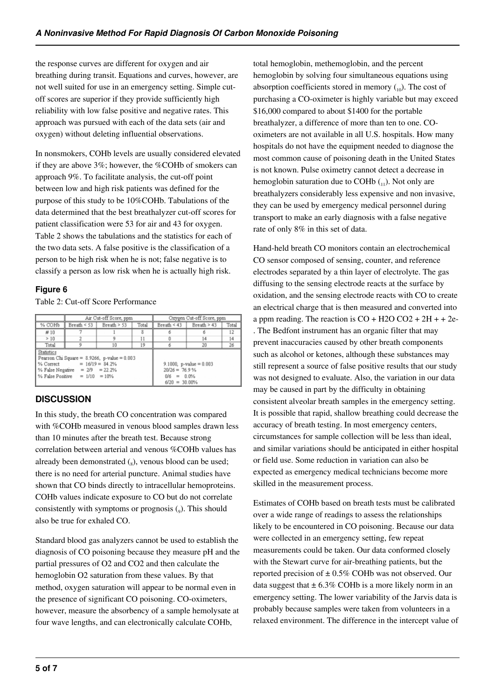the response curves are different for oxygen and air breathing during transit. Equations and curves, however, are not well suited for use in an emergency setting. Simple cutoff scores are superior if they provide sufficiently high reliability with low false positive and negative rates. This approach was pursued with each of the data sets (air and oxygen) without deleting influential observations.

In nonsmokers, COHb levels are usually considered elevated if they are above 3%; however, the %COHb of smokers can approach 9%. To facilitate analysis, the cut-off point between low and high risk patients was defined for the purpose of this study to be 10%COHb. Tabulations of the data determined that the best breathalyzer cut-off scores for patient classification were 53 for air and 43 for oxygen. Table 2 shows the tabulations and the statistics for each of the two data sets. A false positive is the classification of a person to be high risk when he is not; false negative is to classify a person as low risk when he is actually high risk.

## **Figure 6**

Table 2: Cut-off Score Performance

|                                                                                                                                                                                     | Air Cut-off Score, ppm |               |                                                                                    | Oxygen Cut-off Score, ppm |             |       |
|-------------------------------------------------------------------------------------------------------------------------------------------------------------------------------------|------------------------|---------------|------------------------------------------------------------------------------------|---------------------------|-------------|-------|
| % COHb                                                                                                                                                                              | Breath $\le$ 53        | Breath $> 53$ | Total                                                                              | Breath $\leq 43$          | Breath > 43 | Total |
| #10                                                                                                                                                                                 |                        |               | 8                                                                                  |                           |             | 12    |
| >10                                                                                                                                                                                 |                        |               | 11                                                                                 |                           | 14          | 14    |
| Total                                                                                                                                                                               |                        | 10            | 19                                                                                 |                           | 20          | 26    |
| <b>Statistics</b><br>Pearson Chi Square = $8.9266$ , p-value = $0.003$<br>% Correct = $16/19 = 84.2\%$<br>% False Negative = $2/9$ = 22.2%<br>$\%$ False Positive = $1/10$ = $10\%$ |                        |               | $9.1000$ , p-value = 0.003<br>$20/26 = 76.9%$<br>$0/6 = 0.0\%$<br>$6/20 = 30.00\%$ |                           |             |       |

## **DISCUSSION**

In this study, the breath CO concentration was compared with %COHb measured in venous blood samples drawn less than 10 minutes after the breath test. Because strong correlation between arterial and venous %COHb values has already been demonstrated (s), venous blood can be used; there is no need for arterial puncture. Animal studies have shown that CO binds directly to intracellular hemoproteins. COHb values indicate exposure to CO but do not correlate consistently with symptoms or prognosis  $(_{9})$ . This should also be true for exhaled CO.

Standard blood gas analyzers cannot be used to establish the diagnosis of CO poisoning because they measure pH and the partial pressures of O2 and CO2 and then calculate the hemoglobin O2 saturation from these values. By that method, oxygen saturation will appear to be normal even in the presence of significant CO poisoning. CO-oximeters, however, measure the absorbency of a sample hemolysate at four wave lengths, and can electronically calculate COHb,

total hemoglobin, methemoglobin, and the percent hemoglobin by solving four simultaneous equations using absorption coefficients stored in memory  $\binom{10}{10}$ . The cost of purchasing a CO-oximeter is highly variable but may exceed \$16,000 compared to about \$1400 for the portable breathalyzer, a difference of more than ten to one. COoximeters are not available in all U.S. hospitals. How many hospitals do not have the equipment needed to diagnose the most common cause of poisoning death in the United States is not known. Pulse oximetry cannot detect a decrease in hemoglobin saturation due to COHb  $_{(11)}$ . Not only are breathalyzers considerably less expensive and non invasive, they can be used by emergency medical personnel during transport to make an early diagnosis with a false negative rate of only 8% in this set of data.

Hand-held breath CO monitors contain an electrochemical CO sensor composed of sensing, counter, and reference electrodes separated by a thin layer of electrolyte. The gas diffusing to the sensing electrode reacts at the surface by oxidation, and the sensing electrode reacts with CO to create an electrical charge that is then measured and converted into a ppm reading. The reaction is  $CO + H2O CO2 + 2H + 2e$ . The Bedfont instrument has an organic filter that may prevent inaccuracies caused by other breath components such as alcohol or ketones, although these substances may still represent a source of false positive results that our study was not designed to evaluate. Also, the variation in our data may be caused in part by the difficulty in obtaining consistent alveolar breath samples in the emergency setting. It is possible that rapid, shallow breathing could decrease the accuracy of breath testing. In most emergency centers, circumstances for sample collection will be less than ideal, and similar variations should be anticipated in either hospital or field use. Some reduction in variation can also be expected as emergency medical technicians become more skilled in the measurement process.

Estimates of COHb based on breath tests must be calibrated over a wide range of readings to assess the relationships likely to be encountered in CO poisoning. Because our data were collected in an emergency setting, few repeat measurements could be taken. Our data conformed closely with the Stewart curve for air-breathing patients, but the reported precision of  $\pm$  0.5% COHb was not observed. Our data suggest that  $\pm 6.3\%$  COHb is a more likely norm in an emergency setting. The lower variability of the Jarvis data is probably because samples were taken from volunteers in a relaxed environment. The difference in the intercept value of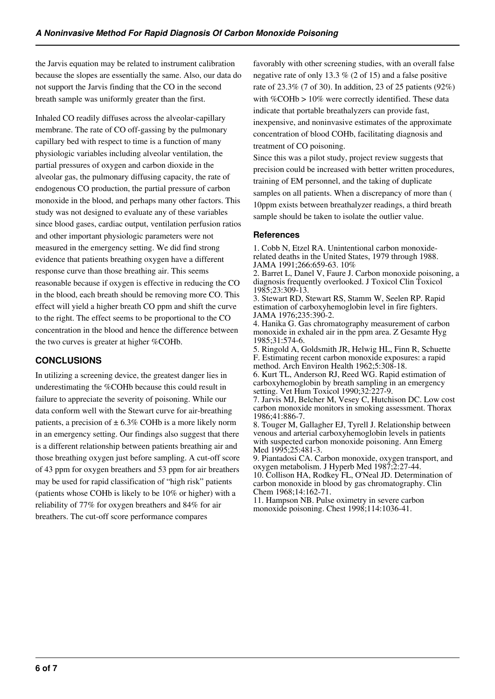the Jarvis equation may be related to instrument calibration because the slopes are essentially the same. Also, our data do not support the Jarvis finding that the CO in the second breath sample was uniformly greater than the first.

Inhaled CO readily diffuses across the alveolar-capillary membrane. The rate of CO off-gassing by the pulmonary capillary bed with respect to time is a function of many physiologic variables including alveolar ventilation, the partial pressures of oxygen and carbon dioxide in the alveolar gas, the pulmonary diffusing capacity, the rate of endogenous CO production, the partial pressure of carbon monoxide in the blood, and perhaps many other factors. This study was not designed to evaluate any of these variables since blood gases, cardiac output, ventilation perfusion ratios and other important physiologic parameters were not measured in the emergency setting. We did find strong evidence that patients breathing oxygen have a different response curve than those breathing air. This seems reasonable because if oxygen is effective in reducing the CO in the blood, each breath should be removing more CO. This effect will yield a higher breath CO ppm and shift the curve to the right. The effect seems to be proportional to the CO concentration in the blood and hence the difference between the two curves is greater at higher %COHb.

## **CONCLUSIONS**

In utilizing a screening device, the greatest danger lies in underestimating the %COHb because this could result in failure to appreciate the severity of poisoning. While our data conform well with the Stewart curve for air-breathing patients, a precision of  $\pm 6.3\%$  COHb is a more likely norm in an emergency setting. Our findings also suggest that there is a different relationship between patients breathing air and those breathing oxygen just before sampling. A cut-off score of 43 ppm for oxygen breathers and 53 ppm for air breathers may be used for rapid classification of "high risk" patients (patients whose COHb is likely to be 10% or higher) with a reliability of 77% for oxygen breathers and 84% for air breathers. The cut-off score performance compares

favorably with other screening studies, with an overall false negative rate of only 13.3 % (2 of 15) and a false positive rate of 23.3% (7 of 30). In addition, 23 of 25 patients (92%) with %COHb > 10% were correctly identified. These data indicate that portable breathalyzers can provide fast, inexpensive, and noninvasive estimates of the approximate concentration of blood COHb, facilitating diagnosis and treatment of CO poisoning.

Since this was a pilot study, project review suggests that precision could be increased with better written procedures, training of EM personnel, and the taking of duplicate samples on all patients. When a discrepancy of more than ( 10ppm exists between breathalyzer readings, a third breath sample should be taken to isolate the outlier value.

#### **References**

1. Cobb N, Etzel RA. Unintentional carbon monoxiderelated deaths in the United States, 1979 through 1988. JAMA 1991;266:659-63. 10%

2. Barret L, Danel V, Faure J. Carbon monoxide poisoning, a diagnosis frequently overlooked. J Toxicol Clin Toxicol 1985;23:309-13.

3. Stewart RD, Stewart RS, Stamm W, Seelen RP. Rapid estimation of carboxyhemoglobin level in fire fighters. JAMA 1976;235:390-2.

4. Hanika G. Gas chromatography measurement of carbon monoxide in exhaled air in the ppm area. Z Gesamte Hyg 1985;31:574-6.

5. Ringold A, Goldsmith JR, Helwig HL, Finn R, Schuette F. Estimating recent carbon monoxide exposures: a rapid method. Arch Environ Health 1962;5:308-18.

6. Kurt TL, Anderson RJ, Reed WG. Rapid estimation of carboxyhemoglobin by breath sampling in an emergency setting. Vet Hum Toxicol 1990;32:227-9.

7. Jarvis MJ, Belcher M, Vesey C, Hutchison DC. Low cost carbon monoxide monitors in smoking assessment. Thorax 1986;41:886-7.

8. Touger M, Gallagher EJ, Tyrell J. Relationship between venous and arterial carboxyhemoglobin levels in patients with suspected carbon monoxide poisoning. Ann Emerg Med 1995;25:481-3.

9. Piantadosi CA. Carbon monoxide, oxygen transport, and oxygen metabolism. J Hyperb Med 1987;2:27-44. 10. Collison HA, Rodkey FL, O'Neal JD. Determination of carbon monoxide in blood by gas chromatography. Clin Chem 1968;14:162-71.

11. Hampson NB. Pulse oximetry in severe carbon monoxide poisoning. Chest 1998;114:1036-41.